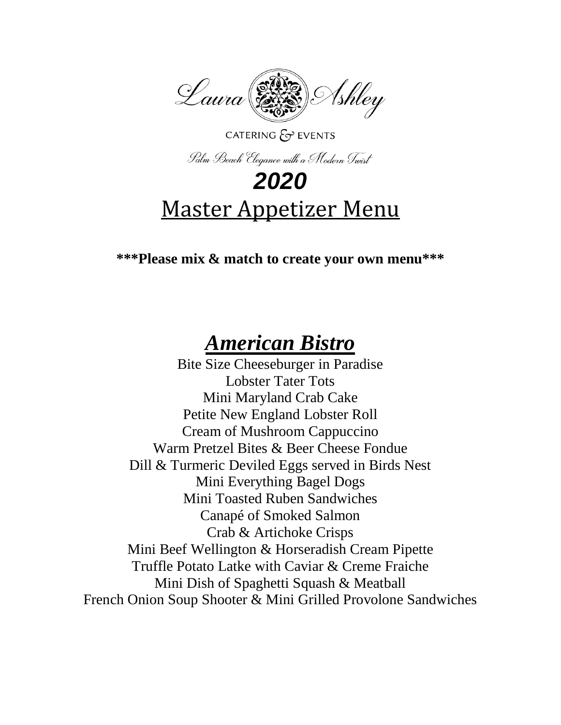

#### CATERING  $\mathcal{E}$  EVENTS

Palm Beach Elegance with a Modern Twist

# *2020* Master Appetizer Menu

#### **\*\*\*Please mix & match to create your own menu\*\*\***

## *American Bistro*

Bite Size Cheeseburger in Paradise Lobster Tater Tots Mini Maryland Crab Cake Petite New England Lobster Roll Cream of Mushroom Cappuccino Warm Pretzel Bites & Beer Cheese Fondue Dill & Turmeric Deviled Eggs served in Birds Nest Mini Everything Bagel Dogs Mini Toasted Ruben Sandwiches Canapé of Smoked Salmon Crab & Artichoke Crisps Mini Beef Wellington & Horseradish Cream Pipette Truffle Potato Latke with Caviar & Creme Fraiche Mini Dish of Spaghetti Squash & Meatball French Onion Soup Shooter & Mini Grilled Provolone Sandwiches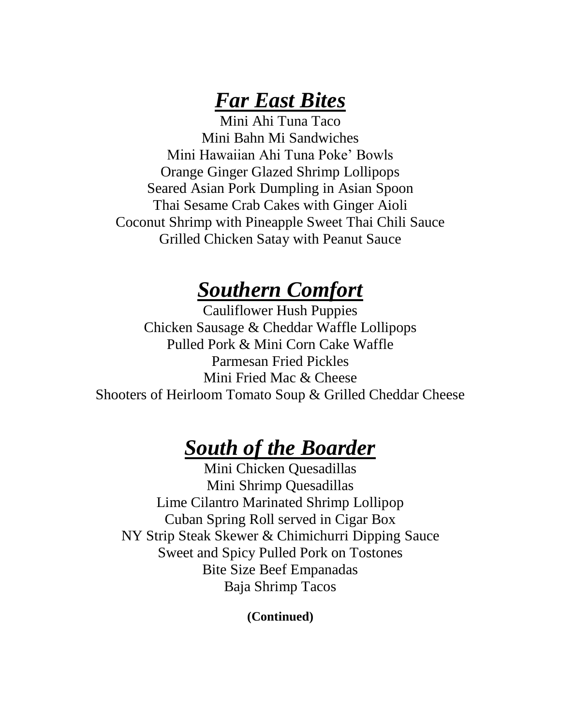#### *Far East Bites*

Mini Ahi Tuna Taco Mini Bahn Mi Sandwiches Mini Hawaiian Ahi Tuna Poke' Bowls Orange Ginger Glazed Shrimp Lollipops Seared Asian Pork Dumpling in Asian Spoon Thai Sesame Crab Cakes with Ginger Aioli Coconut Shrimp with Pineapple Sweet Thai Chili Sauce Grilled Chicken Satay with Peanut Sauce

#### *Southern Comfort*

Cauliflower Hush Puppies Chicken Sausage & Cheddar Waffle Lollipops Pulled Pork & Mini Corn Cake Waffle Parmesan Fried Pickles Mini Fried Mac & Cheese Shooters of Heirloom Tomato Soup & Grilled Cheddar Cheese

## *South of the Boarder*

Mini Chicken Quesadillas Mini Shrimp Quesadillas Lime Cilantro Marinated Shrimp Lollipop Cuban Spring Roll served in Cigar Box NY Strip Steak Skewer & Chimichurri Dipping Sauce Sweet and Spicy Pulled Pork on Tostones Bite Size Beef Empanadas Baja Shrimp Tacos

**(Continued)**